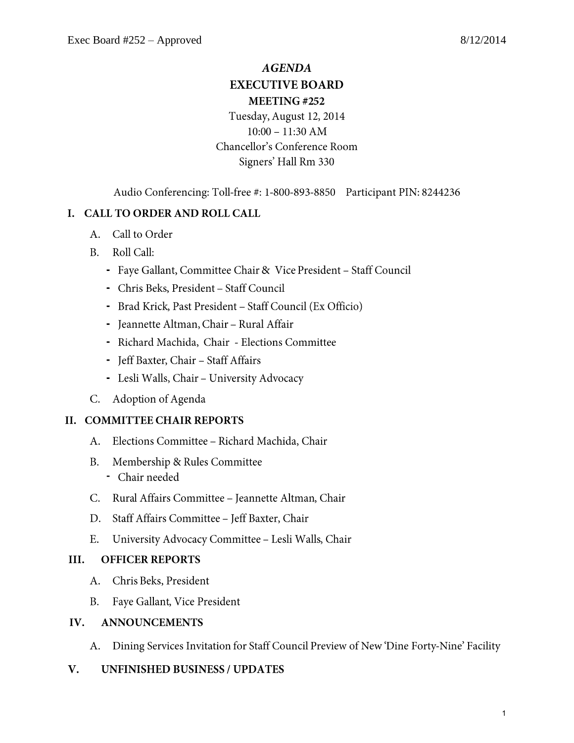# **AGENDA EXECUTIVE BOARD** MEETING#252

# Tuesday, August 12, 2014  $10:00 - 11:30$  AM Chancellor's Conference Room Signers' Hall Rm 330

Audio Conferencing: Toll-free #: 1-800-893-8850 Participant PIN: 8244236

# I. CALL TO ORDER AND ROLL CALL

- A. Call to Order
- B. Roll Call:
	- Faye Gallant, Committee Chair & Vice President Staff Council
	- Chris Beks, President Staff Council
	- Brad Krick, Past President Staff Council (Ex Officio)
	- Jeannette Altman, Chair Rural Affair
	- Richard Machida, Chair Elections Committee
	- Jeff Baxter, Chair Staff Affairs
	- Lesli Walls, Chair University Advocacy
- C. Adoption of Agenda

# II. COMMITTEE CHAIR REPORTS

- Elections Committee Richard Machida, Chair  $A_{\cdot}$
- Membership & Rules Committee  $B_{-}$ 
	- Chair needed
- C. Rural Affairs Committee Jeannette Altman, Chair
- D. Staff Affairs Committee Jeff Baxter, Chair
- $E_{\cdot}$ University Advocacy Committee - Lesli Walls, Chair

#### **OFFICER REPORTS** III.

- A. Chris Beks, President
- **B.** Faye Gallant, Vice President

#### $IV.$ **ANNOUNCEMENTS**

A. Dining Services Invitation for Staff Council Preview of New 'Dine Forty-Nine' Facility

#### $V_{\cdot}$ **UNFINISHED BUSINESS / UPDATES**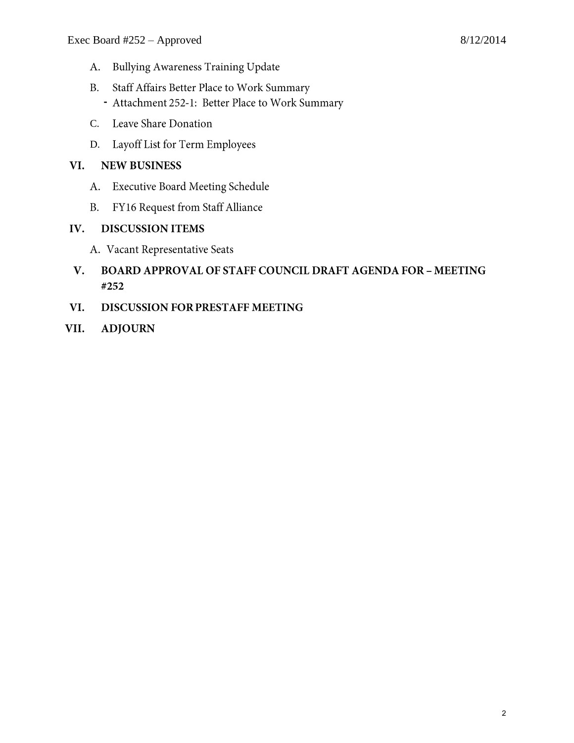- Bullying Awareness Training Update A.
- B. Staff Affairs Better Place to Work Summary
	- Attachment 252-1: Better Place to Work Summary
- C. Leave Share Donation
- D. Layoff List for Term Employees

# VI. NEW BUSINESS

- A. Executive Board Meeting Schedule
- **B.** FY16 Request from Staff Alliance

# **IV.** DISCUSSION ITEMS

- A. Vacant Representative Seats
- **BOARD APPROVAL OF STAFF COUNCIL DRAFT AGENDA FOR MEETING** V. #252
- VI. **DISCUSSION FOR PRESTAFF MEETING**
- VII. **ADJOURN**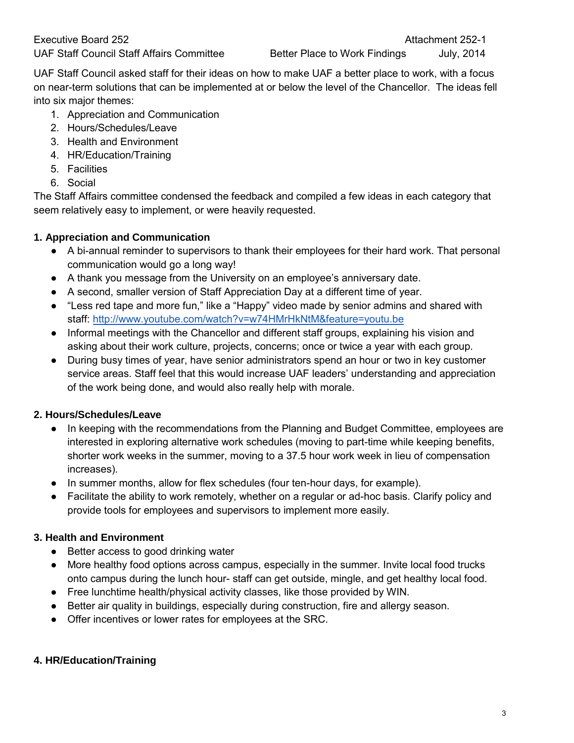UAF Staff Council asked staff for their ideas on how to make UAF a better place to work, with a focus on near-term solutions that can be implemented at or below the level of the Chancellor. The ideas fell into six major themes:

- 1. Appreciation and Communication
- 2. Hours/Schedules/Leave
- 3. Health and Environment
- 4. HR/Education/Training
- 5. Facilities
- 6. Social

The Staff Affairs committee condensed the feedback and compiled a few ideas in each category that seem relatively easy to implement, or were heavily requested.

### **1. Appreciation and Communication**

- A bi-annual reminder to supervisors to thank their employees for their hard work. That personal communication would go a long way!
- A thank you message from the University on an employee's anniversary date.
- A second, smaller version of Staff Appreciation Day at a different time of year.
- "Less red tape and more fun," like a "Happy" video made by senior admins and shared with staff:<http://www.youtube.com/watch?v=w74HMrHkNtM&feature=youtu.be>
- Informal meetings with the Chancellor and different staff groups, explaining his vision and asking about their work culture, projects, concerns; once or twice a year with each group.
- During busy times of year, have senior administrators spend an hour or two in key customer service areas. Staff feel that this would increase UAF leaders' understanding and appreciation of the work being done, and would also really help with morale.

# **2. Hours/Schedules/Leave**

- In keeping with the recommendations from the Planning and Budget Committee, employees are interested in exploring alternative work schedules (moving to part-time while keeping benefits, shorter work weeks in the summer, moving to a 37.5 hour work week in lieu of compensation increases).
- In summer months, allow for flex schedules (four ten-hour days, for example).
- Facilitate the ability to work remotely, whether on a regular or ad-hoc basis. Clarify policy and provide tools for employees and supervisors to implement more easily.

#### **3. Health and Environment**

- Better access to good drinking water
- More healthy food options across campus, especially in the summer. Invite local food trucks onto campus during the lunch hour- staff can get outside, mingle, and get healthy local food.
- Free lunchtime health/physical activity classes, like those provided by WIN.
- Better air quality in buildings, especially during construction, fire and allergy season.
- Offer incentives or lower rates for employees at the SRC.

#### **4. HR/Education/Training**